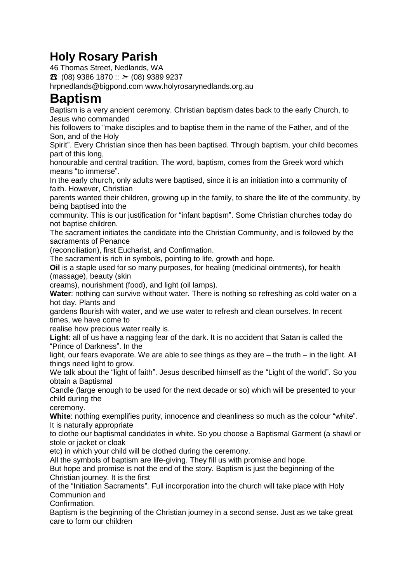## **Holy Rosary Parish**

46 Thomas Street, Nedlands, WA

 $\bullet$  (08) 9386 1870 ::  $>$  (08) 9389 9237

hrpnedlands@bigpond.com www.holyrosarynedlands.org.au

## **Baptism**

Baptism is a very ancient ceremony. Christian baptism dates back to the early Church, to Jesus who commanded

his followers to "make disciples and to baptise them in the name of the Father, and of the Son, and of the Holy

Spirit". Every Christian since then has been baptised. Through baptism, your child becomes part of this long,

honourable and central tradition. The word, baptism, comes from the Greek word which means "to immerse".

In the early church, only adults were baptised, since it is an initiation into a community of faith. However, Christian

parents wanted their children, growing up in the family, to share the life of the community, by being baptised into the

community. This is our justification for "infant baptism". Some Christian churches today do not baptise children.

The sacrament initiates the candidate into the Christian Community, and is followed by the sacraments of Penance

(reconciliation), first Eucharist, and Confirmation.

The sacrament is rich in symbols, pointing to life, growth and hope.

**Oil** is a staple used for so many purposes, for healing (medicinal ointments), for health (massage), beauty (skin

creams), nourishment (food), and light (oil lamps).

**Water**: nothing can survive without water. There is nothing so refreshing as cold water on a hot day. Plants and

gardens flourish with water, and we use water to refresh and clean ourselves. In recent times, we have come to

realise how precious water really is.

**Light**: all of us have a nagging fear of the dark. It is no accident that Satan is called the "Prince of Darkness". In the

light, our fears evaporate. We are able to see things as they are – the truth – in the light. All things need light to grow.

We talk about the "light of faith". Jesus described himself as the "Light of the world". So you obtain a Baptismal

Candle (large enough to be used for the next decade or so) which will be presented to your child during the

ceremony.

**White**: nothing exemplifies purity, innocence and cleanliness so much as the colour "white". It is naturally appropriate

to clothe our baptismal candidates in white. So you choose a Baptismal Garment (a shawl or stole or jacket or cloak

etc) in which your child will be clothed during the ceremony.

All the symbols of baptism are life-giving. They fill us with promise and hope.

But hope and promise is not the end of the story. Baptism is just the beginning of the Christian journey. It is the first

of the "Initiation Sacraments". Full incorporation into the church will take place with Holy Communion and

Confirmation.

Baptism is the beginning of the Christian journey in a second sense. Just as we take great care to form our children